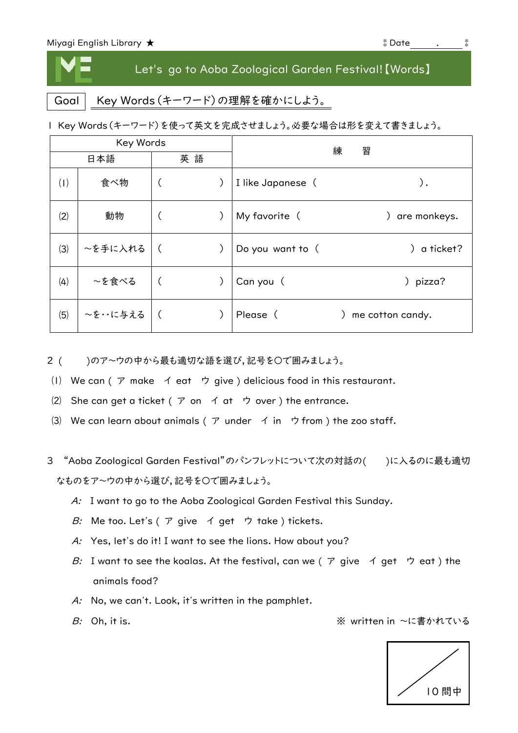## Let's go to Aoba Zoological Garden Festival!【Words】

Goal | Key Words (キーワード)の理解を確かにしよう。

1 Key Words(キーワード)を使って英文を完成させましょう。必要な場合は形を変えて書きましょう。

| Key Words |          |    |  | 練<br>習            |                         |
|-----------|----------|----|--|-------------------|-------------------------|
| 日本語       |          | 英語 |  |                   |                         |
| (1)       | 食べ物      |    |  | I like Japanese ( | ).                      |
| (2)       | 動物       |    |  | My favorite (     | are monkeys.            |
| (3)       | ~を手に入れる  |    |  | Do you want to (  | a ticket?               |
| (4)       | ~を食べる    |    |  | Can you (         | pizza?<br>$\mathcal{C}$ |
| (5)       | ~を・・に与える |    |  | Please (          | me cotton candy.        |

- 2 ( )のア~ウの中から最も適切な語を選び,記号を○で囲みましょう。
- ⑴ We can ( ア make イ eat ウ give ) delicious food in this restaurant.
- (2) She can get a ticket ( $\mathcal P$  on  $\mathcal A$  at  $\mathcal P$  over) the entrance.
- (3) We can learn about animals ( $\mathcal P$  under  $\mathcal A$  in  $\mathcal P$  from ) the zoo staff.
- 3 "Aoba Zoological Garden Festival"のパンフレットについて次の対話の()に入るのに最も適切 なものをア~ウの中から選び,記号を〇で囲みましょう。
	- A: I want to go to the Aoba Zoological Garden Festival this Sunday.
	- B: Me too. Let's ( $\overline{r}$  give  $\overline{r}$  get  $\overline{r}$  take ) tickets.
	- A: Yes, let's do it! I want to see the lions. How about you?
	- B: I want to see the koalas. At the festival, can we (  $\sigma$  give イ get ウ eat ) the animals food?
	- A: No, we can't. Look, it's written in the pamphlet.
	- $B$ : Oh, it is.

※ written in ~に書かれている